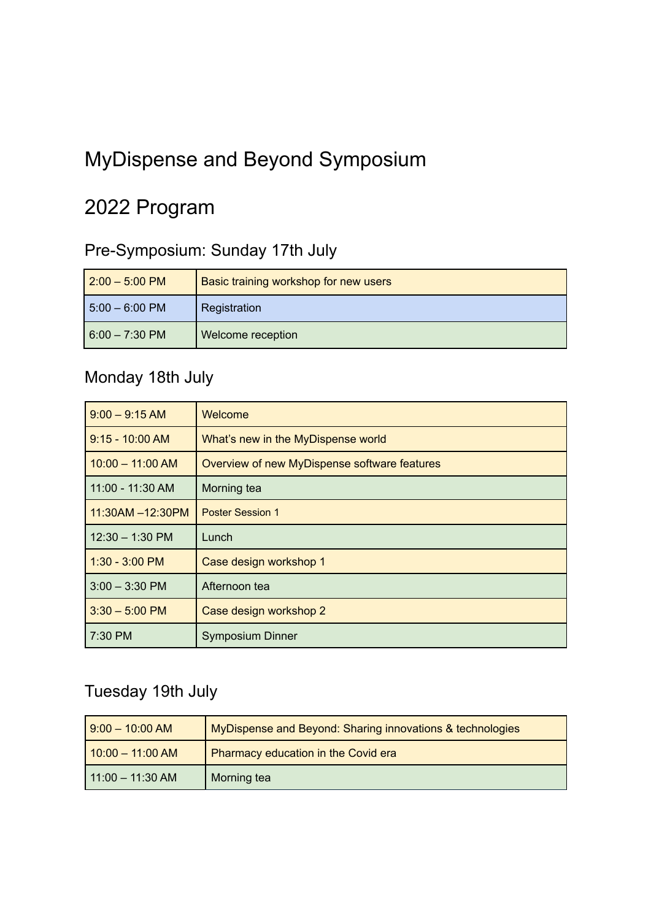# MyDispense and Beyond Symposium

# 2022 Program

### Pre-Symposium: Sunday 17th July

| $2:00 - 5:00$ PM          | Basic training workshop for new users |
|---------------------------|---------------------------------------|
| $15:00 - 6:00 \text{ PM}$ | Registration                          |
| $6:00 - 7:30$ PM          | Welcome reception                     |

#### Monday 18th July

| $9:00 - 9:15 AM$   | Welcome                                      |
|--------------------|----------------------------------------------|
| $9:15 - 10:00$ AM  | What's new in the MyDispense world           |
| $10:00 - 11:00$ AM | Overview of new MyDispense software features |
| 11:00 - 11:30 AM   | Morning tea                                  |
| 11:30AM -12:30PM   | <b>Poster Session 1</b>                      |
| $12:30 - 1:30$ PM  | Lunch                                        |
| $1:30 - 3:00$ PM   | Case design workshop 1                       |
| $3:00 - 3:30$ PM   | Afternoon tea                                |
| $3:30 - 5:00$ PM   | Case design workshop 2                       |
| $7:30$ PM          | <b>Symposium Dinner</b>                      |

### Tuesday 19th July

| $9:00 - 10:00$ AM  | MyDispense and Beyond: Sharing innovations & technologies |
|--------------------|-----------------------------------------------------------|
| $10:00 - 11:00 AM$ | Pharmacy education in the Covid era                       |
| 11:00 - 11:30 AM   | Morning tea                                               |